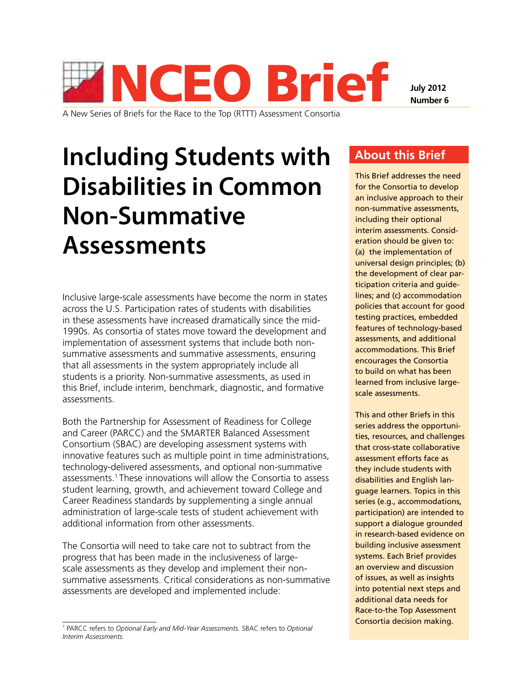

A New Series of Briefs for the Race to the Top (RTTT) Assessment Consortia

**Number 6**

# **Including Students with Disabilities in Common Non-Summative Assessments**

Inclusive large-scale assessments have become the norm in states across the U.S. Participation rates of students with disabilities in these assessments have increased dramatically since the mid-1990s. As consortia of states move toward the development and implementation of assessment systems that include both nonsummative assessments and summative assessments, ensuring that all assessments in the system appropriately include all students is a priority. Non-summative assessments, as used in this Brief, include interim, benchmark, diagnostic, and formative assessments.

Both the Partnership for Assessment of Readiness for College and Career (PARCC) and the SMARTER Balanced Assessment Consortium (SBAC) are developing assessment systems with innovative features such as multiple point in time administrations, technology-delivered assessments, and optional non-summative assessments.1 These innovations will allow the Consortia to assess student learning, growth, and achievement toward College and Career Readiness standards by supplementing a single annual administration of large-scale tests of student achievement with additional information from other assessments.

The Consortia will need to take care not to subtract from the progress that has been made in the inclusiveness of largescale assessments as they develop and implement their nonsummative assessments. Critical considerations as non-summative assessments are developed and implemented include:

# **About this Brief**

This Brief addresses the need for the Consortia to develop an inclusive approach to their non-summative assessments, including their optional interim assessments. Consideration should be given to: (a) the implementation of universal design principles; (b) the development of clear participation criteria and guidelines; and (c) accommodation policies that account for good testing practices, embedded features of technology-based assessments, and additional accommodations. This Brief encourages the Consortia to build on what has been learned from inclusive largescale assessments.

This and other Briefs in this series address the opportunities, resources, and challenges that cross-state collaborative assessment efforts face as they include students with disabilities and English language learners. Topics in this series (e.g., accommodations, participation) are intended to support a dialogue grounded in research-based evidence on building inclusive assessment systems. Each Brief provides an overview and discussion of issues, as well as insights into potential next steps and additional data needs for Race-to-the Top Assessment Consortia decision making.

<sup>1</sup> PARCC refers to *Optional Early and Mid-Year Assessments.* SBAC refers to *Optional Interim Assessments.*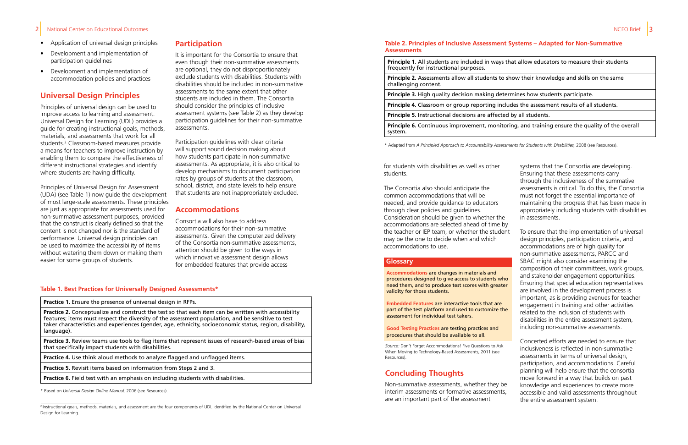### 2 National Center on Educational Outcomes NCEO Brief 3 National Center on Educational Outcomes NCEO Brief 3 National Center 3 National Center on Educational Outcomes NATURE 3 National Service 3 National Service 3 National

- Application of universal design principles
- Development and implementation of participation guidelines
- Development and implementation of accommodation policies and practices

# **Universal Design Principles**

Principles of universal design can be used to improve access to learning and assessment. Universal Design for Learning (UDL) provides a guide for creating instructional goals, methods, materials, and assessments that work for all students.2 Classroom-based measures provide a means for teachers to improve instruction by enabling them to compare the effectiveness of different instructional strategies and identify where students are having difficulty.

Principles of Universal Design for Assessment (UDA) (see Table 1) now guide the development of most large-scale assessments. These principles are just as appropriate for assessments used for non-summative assessment purposes, provided that the construct is clearly defined so that the content is not changed nor is the standard of performance. Universal design principles can be used to maximize the accessibility of items without watering them down or making them easier for some groups of students.

### **Table 1. Best Practices for Universally Designed Assessments\***

**Practice 1.** Ensure the presence of universal design in RFPs.

**Practice 2.** Conceptualize and construct the test so that each item can be written with accessibility features; items must respect the diversity of the assessment population, and be sensitive to test taker characteristics and experiences (gender, age, ethnicity, socioeconomic status, region, disability, language).

**Practice 3.** Review teams use tools to flag items that represent issues of research-based areas of bias that specifically impact students with disabilities.

**Practice 4.** Use think aloud methods to analyze flagged and unflagged items.

**Practice 5.** Revisit items based on information from Steps 2 and 3.

**Practice 6.** Field test with an emphasis on including students with disabilities.

\* Based on *Universal Design Online Manual,* 2006 (see Resources).

# **Participation**

It is important for the Consortia to ensure that even though their non-summative assessments are optional, they do not disproportionately exclude students with disabilities. Students with disabilities should be included in non-summative assessments to the same extent that other students are included in them. The Consortia should consider the principles of inclusive assessment systems (see Table 2) as they develop participation guidelines for their non-summative assessments.

Participation guidelines with clear criteria will support sound decision making about how students participate in non-summative assessments. As appropriate, it is also critical to develop mechanisms to document participation rates by groups of students at the classroom, school, district, and state levels to help ensure that students are not inappropriately excluded.

## **Accommodations**

Consortia will also have to address accommodations for their non-summative assessments. Given the computerized delivery of the Consortia non-summative assessments, attention should be given to the ways in which innovative assessment design allows for embedded features that provide access

**Principle 1**. All students are included in ways that allow educators to measure their students frequently for instructional purposes. **Principle 2.** Assessments allow all students to show their knowledge and skills on the same challenging content. **Principle 3.** High quality decision making determines how students participate. **Principle 4.** Classroom or group reporting includes the assessment results of all students. **Principle 5.** Instructional decisions are affected by all students. **Principle 6.** Continuous improvement, monitoring, and training ensure the quality of the overall

system.

\* Adapted from *A Principled Approach to Accountability Assessments for Students with Disabilities,* 2008 (see Resources).

### **Table 2. Principles of Inclusive Assessment Systems – Adapted for Non-Summative Assessments**

for students with disabilities as well as other students.

The Consortia also should anticipate the common accommodations that will be needed, and provide guidance to educators through clear policies and guidelines. Consideration should be given to whether the accommodations are selected ahead of time by the teacher or IEP team, or whether the student may be the one to decide when and which accommodations to use.

systems that the Consortia are developing. Ensuring that these assessments carry through the inclusiveness of the summative assessments is critical. To do this, the Consortia must not forget the essential importance of maintaining the progress that has been made in appropriately including students with disabilities in assessments.

To ensure that the implementation of universal design principles, participation criteria, and accommodations are of high quality for non-summative assessments, PARCC and SBAC might also consider examining the composition of their committees, work groups, and stakeholder engagement opportunities. Ensuring that special education representatives are involved in the development process is important, as is providing avenues for teacher engagement in training and other activities related to the inclusion of students with disabilities in the entire assessment system, including non-summative assessments.

Concerted efforts are needed to ensure that inclusiveness is reflected in non-summative assessments in terms of universal design, participation, and accommodations. Careful planning will help ensure that the consortia move forward in a way that builds on past knowledge and experiences to create more accessible and valid assessments throughout the entire assessment system.

*Source:* Don't Forget Accommodations! Five Questions to Ask When Moving to Technology-Based Assessments, 2011 (see Resources).

**Accommodations** are changes in materials and procedures designed to give access to students who need them, and to produce test scores with greater validity for those students.

**Embedded Features** are interactive tools that are part of the test platform and used to customize the assessment for individual test takers.

**Good Testing Practices** are testing practices and procedures that should be available to all.

### **Glossary**

# **Concluding Thoughts**

Non-summative assessments, whether they be interim assessments or formative assessments, are an important part of the assessment

<sup>&</sup>lt;sup>2</sup> Instructional goals, methods, materials, and assessment are the four components of UDL identified by the National Center on Universal Design for Learning.